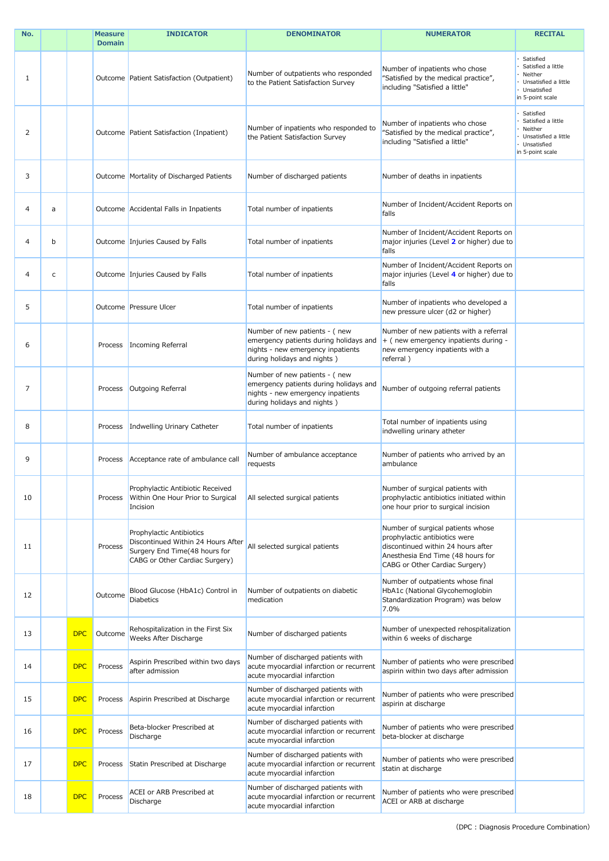| No. |   |            | <b>Measure</b><br><b>Domain</b> | <b>INDICATOR</b>                                                                                                                  | <b>DENOMINATOR</b>                                                                                                                          | <b>NUMERATOR</b>                                                                                                                                                                | <b>RECITAL</b>                                                                                          |
|-----|---|------------|---------------------------------|-----------------------------------------------------------------------------------------------------------------------------------|---------------------------------------------------------------------------------------------------------------------------------------------|---------------------------------------------------------------------------------------------------------------------------------------------------------------------------------|---------------------------------------------------------------------------------------------------------|
| -1  |   |            |                                 | Outcome Patient Satisfaction (Outpatient)                                                                                         | Number of outpatients who responded<br>to the Patient Satisfaction Survey                                                                   | Number of inpatients who chose<br>"Satisfied by the medical practice",<br>including "Satisfied a little"                                                                        | Satisfied<br>Satisfied a little<br>Neither<br>Unsatisfied a little<br>· Unsatisfied<br>in 5-point scale |
| 2   |   |            |                                 | Outcome Patient Satisfaction (Inpatient)                                                                                          | Number of inpatients who responded to<br>the Patient Satisfaction Survey                                                                    | Number of inpatients who chose<br>"Satisfied by the medical practice",<br>including "Satisfied a little"                                                                        | Satisfied<br>Satisfied a little<br>Neither<br>Unsatisfied a little<br>· Unsatisfied<br>in 5-point scale |
| 3   |   |            |                                 | Outcome Mortality of Discharged Patients                                                                                          | Number of discharged patients                                                                                                               | Number of deaths in inpatients                                                                                                                                                  |                                                                                                         |
| 4   | a |            |                                 | Outcome Accidental Falls in Inpatients                                                                                            | Total number of inpatients                                                                                                                  | Number of Incident/Accident Reports on<br>falls                                                                                                                                 |                                                                                                         |
| 4   | b |            |                                 | Outcome Injuries Caused by Falls                                                                                                  | Total number of inpatients                                                                                                                  | Number of Incident/Accident Reports on<br>major injuries (Level 2 or higher) due to<br>falls                                                                                    |                                                                                                         |
| 4   | C |            |                                 | Outcome   Injuries Caused by Falls                                                                                                | Total number of inpatients                                                                                                                  | Number of Incident/Accident Reports on<br>major injuries (Level 4 or higher) due to<br>falls                                                                                    |                                                                                                         |
| 5   |   |            |                                 | Outcome Pressure Ulcer                                                                                                            | Total number of inpatients                                                                                                                  | Number of inpatients who developed a<br>new pressure ulcer (d2 or higher)                                                                                                       |                                                                                                         |
| 6   |   |            | Process                         | Incoming Referral                                                                                                                 | Number of new patients - (new<br>emergency patients during holidays and<br>nights - new emergency inpatients<br>during holidays and nights) | Number of new patients with a referral<br>+ (new emergency inpatients during -<br>new emergency inpatients with a<br>referral)                                                  |                                                                                                         |
| 7   |   |            | Process                         | Outgoing Referral                                                                                                                 | Number of new patients - (new<br>emergency patients during holidays and<br>nights - new emergency inpatients<br>during holidays and nights) | Number of outgoing referral patients                                                                                                                                            |                                                                                                         |
| 8   |   |            | Process                         | Indwelling Urinary Catheter                                                                                                       | Total number of inpatients                                                                                                                  | Total number of inpatients using<br>indwelling urinary atheter                                                                                                                  |                                                                                                         |
| 9   |   |            | Process                         | Acceptance rate of ambulance call                                                                                                 | Number of ambulance acceptance<br>requests                                                                                                  | Number of patients who arrived by an<br>ambulance                                                                                                                               |                                                                                                         |
| 10  |   |            | Process                         | Prophylactic Antibiotic Received<br>Within One Hour Prior to Surgical<br>Incision                                                 | All selected surgical patients                                                                                                              | Number of surgical patients with<br>prophylactic antibiotics initiated within<br>one hour prior to surgical incision                                                            |                                                                                                         |
| 11  |   |            | Process                         | Prophylactic Antibiotics<br>Discontinued Within 24 Hours After<br>Surgery End Time(48 hours for<br>CABG or Other Cardiac Surgery) | All selected surgical patients                                                                                                              | Number of surgical patients whose<br>prophylactic antibiotics were<br>discontinued within 24 hours after<br>Anesthesia End Time (48 hours for<br>CABG or Other Cardiac Surgery) |                                                                                                         |
| 12  |   |            | Outcome                         | Blood Glucose (HbA1c) Control in<br><b>Diabetics</b>                                                                              | Number of outpatients on diabetic<br>medication                                                                                             | Number of outpatients whose final<br>HbA1c (National Glycohemoglobin<br>Standardization Program) was below<br>7.0%                                                              |                                                                                                         |
| 13  |   | <b>DPC</b> | Outcome                         | Rehospitalization in the First Six<br>Weeks After Discharge                                                                       | Number of discharged patients                                                                                                               | Number of unexpected rehospitalization<br>within 6 weeks of discharge                                                                                                           |                                                                                                         |
| 14  |   | <b>DPC</b> | Process                         | Aspirin Prescribed within two days<br>after admission                                                                             | Number of discharged patients with<br>acute myocardial infarction or recurrent<br>acute myocardial infarction                               | Number of patients who were prescribed<br>aspirin within two days after admission                                                                                               |                                                                                                         |
| 15  |   | <b>DPC</b> | Process                         | Aspirin Prescribed at Discharge                                                                                                   | Number of discharged patients with<br>acute myocardial infarction or recurrent<br>acute myocardial infarction                               | Number of patients who were prescribed<br>aspirin at discharge                                                                                                                  |                                                                                                         |
| 16  |   | <b>DPC</b> | Process                         | Beta-blocker Prescribed at<br>Discharge                                                                                           | Number of discharged patients with<br>acute myocardial infarction or recurrent<br>acute myocardial infarction                               | Number of patients who were prescribed<br>beta-blocker at discharge                                                                                                             |                                                                                                         |
| 17  |   | <b>DPC</b> | Process                         | Statin Prescribed at Discharge                                                                                                    | Number of discharged patients with<br>acute myocardial infarction or recurrent<br>acute myocardial infarction                               | Number of patients who were prescribed<br>statin at discharge                                                                                                                   |                                                                                                         |
| 18  |   | <b>DPC</b> | Process                         | <b>ACEI or ARB Prescribed at</b><br>Discharge                                                                                     | Number of discharged patients with<br>acute myocardial infarction or recurrent<br>acute myocardial infarction                               | Number of patients who were prescribed<br>ACEI or ARB at discharge                                                                                                              |                                                                                                         |